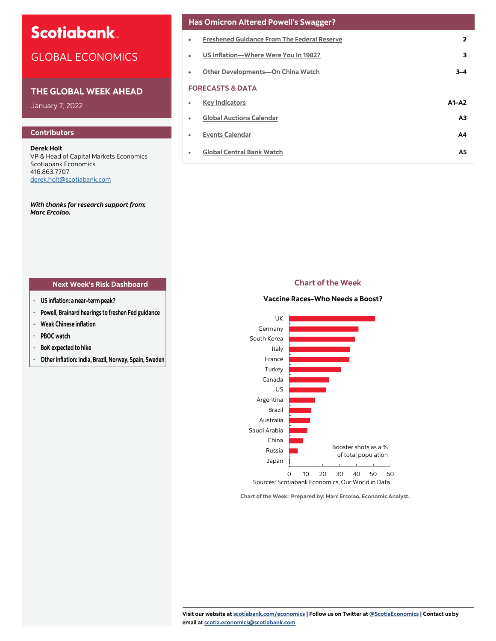# **Scotiabank**

# GLOBAL ECONOMICS

# **THE GLOBAL WEEK AHEAD**

January 7, 2022

# **Contributors**

**Derek Holt** VP & Head of Capital Markets Economics Scotiabank Economics 416.863.7707 [derek.holt@scotiabank.com](mailto:derek.holt@scotiabank.com)

*With thanks for research support from: Marc Ercolao.* 

# **Has Omicron Altered Powell's Swagger?**

| ٠ | <b>Freshened Guidance From The Federal Reserve</b> | $\overline{2}$ |  |  |  |  |
|---|----------------------------------------------------|----------------|--|--|--|--|
| ٠ | US Inflation-Where Were You In 1982?               | 3              |  |  |  |  |
| ٠ | Other Developments-On China Watch                  | $3 - 4$        |  |  |  |  |
|   | <b>FORECASTS &amp; DATA</b>                        |                |  |  |  |  |
| ٠ | <b>Key Indicators</b>                              | $A1 - A2$      |  |  |  |  |
| ٠ | <b>Global Auctions Calendar</b>                    | A <sub>3</sub> |  |  |  |  |
| ٠ | <b>Events Calendar</b>                             | Α4             |  |  |  |  |
| ٠ | <b>Global Central Bank Watch</b>                   | A5             |  |  |  |  |
|   |                                                    |                |  |  |  |  |

# **Next Week's Risk Dashboard Chart of the Week**

- **· US inflation: a near-term peak?**
- **· Powell, Brainard hearings to freshen Fed guidance**
- **· Weak Chinese inflation**
- **· PBOC watch**
- **· BoK expected to hike**
- **· Other inflation: India, Brazil, Norway, Spain, Sweden**

## **Vaccine Races–Who Needs a Boost?**



**Chart of the Week: Prepared by: Marc Ercolao, Economic Analyst.**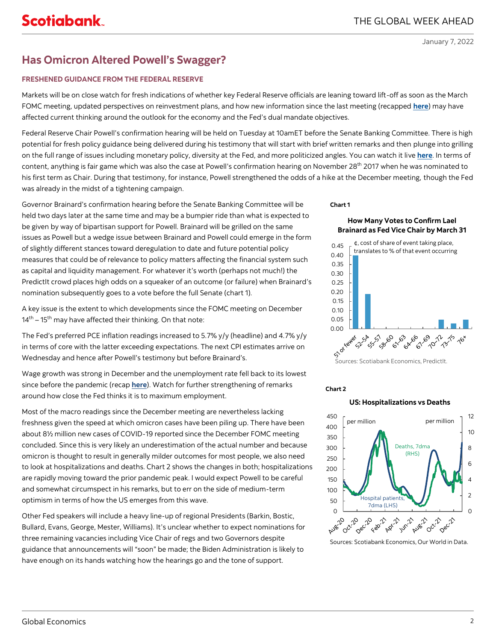# <span id="page-1-0"></span>**Has Omicron Altered Powell's Swagger?**

# **FRESHENED GUIDANCE FROM THE FEDERAL RESERVE**

Markets will be on close watch for fresh indications of whether key Federal Reserve officials are leaning toward lift-off as soon as the March FOMC meeting, updated perspectives on reinvestment plans, and how new information since the last meeting (recapped **[here](https://www.scotiabank.com/ca/en/about/economics/economics-publications/post.other-publications.economic-indicators.scotia-flash.-december-15--2021--2.html)**) may have affected current thinking around the outlook for the economy and the Fed's dual mandate objectives.

Federal Reserve Chair Powell's confirmation hearing will be held on Tuesday at 10amET before the Senate Banking Committee. There is high potential for fresh policy guidance being delivered during his testimony that will start with brief written remarks and then plunge into grilling on the full range of issues including monetary policy, diversity at the Fed, and more politicized angles. You can watch it live **[here](https://www.banking.senate.gov/hearings/01/04/2022/nomination-hearing)**. In terms of content, anything is fair game which was also the case at Powell's confirmation hearing on November 28<sup>th</sup> 2017 when he was nominated to his first term as Chair. During that testimony, for instance, Powell strengthened the odds of a hike at the December meeting, though the Fed was already in the midst of a tightening campaign.

Governor Brainard's confirmation hearing before the Senate Banking Committee will be held two days later at the same time and may be a bumpier ride than what is expected to be given by way of bipartisan support for Powell. Brainard will be grilled on the same issues as Powell but a wedge issue between Brainard and Powell could emerge in the form of slightly different stances toward deregulation to date and future potential policy measures that could be of relevance to policy matters affecting the financial system such as capital and liquidity management. For whatever it's worth (perhaps not much!) the PredictIt crowd places high odds on a squeaker of an outcome (or failure) when Brainard's nomination subsequently goes to a vote before the full Senate (chart 1).

A key issue is the extent to which developments since the FOMC meeting on December 14<sup>th</sup> – 15<sup>th</sup> may have affected their thinking. On that note:

The Fed's preferred PCE inflation readings increased to 5.7% y/y (headline) and 4.7% y/y in terms of core with the latter exceeding expectations. The next CPI estimates arrive on Wednesday and hence after Powell's testimony but before Brainard's.

Wage growth was strong in December and the unemployment rate fell back to its lowest since before the pandemic (recap **[here](https://www.scotiabank.com/content/dam/scotiabank/sub-brands/scotiabank-economics/english/documents/scotia-flash/scotiaflash20220107.pdf)**). Watch for further strengthening of remarks around how close the Fed thinks it is to maximum employment.

Most of the macro readings since the December meeting are nevertheless lacking freshness given the speed at which omicron cases have been piling up. There have been about 8½ million new cases of COVID-19 reported since the December FOMC meeting concluded. Since this is very likely an underestimation of the actual number and because omicron is thought to result in generally milder outcomes for most people, we also need to look at hospitalizations and deaths. Chart 2 shows the changes in both; hospitalizations are rapidly moving toward the prior pandemic peak. I would expect Powell to be careful and somewhat circumspect in his remarks, but to err on the side of medium-term optimism in terms of how the US emerges from this wave.

Other Fed speakers will include a heavy line-up of regional Presidents (Barkin, Bostic, Bullard, Evans, George, Mester, Williams). It's unclear whether to expect nominations for three remaining vacancies including Vice Chair of regs and two Governors despite guidance that announcements will "soon" be made; the Biden Administration is likely to have enough on its hands watching how the hearings go and the tone of support.

**Chart 1**





Sources: Scotiabank Economics, PredictIt.

## **Chart 2**

350

450

# 400 Deaths, 7dma (RHS) per million per million

**US: Hospitalizations vs Deaths**



Sources: Scotiabank Economics, Our World in Data.

10 12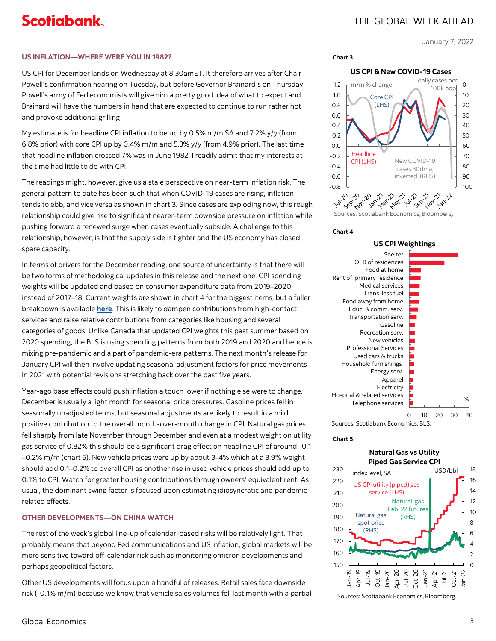## <span id="page-2-0"></span>**US INFLATION—WHERE WERE YOU IN 1982?**

US CPI for December lands on Wednesday at 8:30amET. It therefore arrives after Chair Powell's confirmation hearing on Tuesday, but before Governor Brainard's on Thursday. Powell's army of Fed economists will give him a pretty good idea of what to expect and Brainard will have the numbers in hand that are expected to continue to run rather hot and provoke additional grilling.

My estimate is for headline CPI inflation to be up by 0.5% m/m SA and 7.2% y/y (from 6.8% prior) with core CPI up by 0.4% m/m and 5.3% y/y (from 4.9% prior). The last time that headline inflation crossed 7% was in June 1982. I readily admit that my interests at the time had little to do with CPI!

The readings might, however, give us a stale perspective on near-term inflation risk. The general pattern to date has been such that when COVID-19 cases are rising, inflation tends to ebb, and vice versa as shown in chart 3. Since cases are exploding now, this rough relationship could give rise to significant nearer-term downside pressure on inflation while pushing forward a renewed surge when cases eventually subside. A challenge to this relationship, however, is that the supply side is tighter and the US economy has closed spare capacity.

In terms of drivers for the December reading, one source of uncertainty is that there will be two forms of methodological updates in this release and the next one. CPI spending weights will be updated and based on consumer expenditure data from 2019–2020 instead of 2017–18. Current weights are shown in chart 4 for the biggest items, but a fuller breakdown is available **[here](https://www.bls.gov/news.release/cpi.t02.htm#cpipress2.f.1)**. This is likely to dampen contributions from high-contact services and raise relative contributions from categories like housing and several categories of goods. Unlike Canada that updated CPI weights this past summer based on 2020 spending, the BLS is using spending patterns from both 2019 and 2020 and hence is mixing pre-pandemic and a part of pandemic-era patterns. The next month's release for January CPI will then involve updating seasonal adjustment factors for price movements in 2021 with potential revisions stretching back over the past five years.

Year-ago base effects could push inflation a touch lower if nothing else were to change. December is usually a light month for seasonal price pressures. Gasoline prices fell in seasonally unadjusted terms, but seasonal adjustments are likely to result in a mild positive contribution to the overall month-over-month change in CPI. Natural gas prices fell sharply from late November through December and even at a modest weight on utility gas service of 0.82% this should be a significant drag effect on headline CPI of around -0.1 –0.2% m/m (chart 5). New vehicle prices were up by about 3–4% which at a 3.9% weight should add 0.1–0.2% to overall CPI as another rise in used vehicle prices should add up to 0.1% to CPI. Watch for greater housing contributions through owners' equivalent rent. As usual, the dominant swing factor is focused upon estimating idiosyncratic and pandemicrelated effects.

# **OTHER DEVELOPMENTS—ON CHINA WATCH**

The rest of the week's global line-up of calendar-based risks will be relatively light. That probably means that beyond Fed communications and US inflation, global markets will be more sensitive toward off-calendar risk such as monitoring omicron developments and perhaps geopolitical factors.

Other US developments will focus upon a handful of releases. Retail sales face downside risk (-0.1% m/m) because we know that vehicle sales volumes fell last month with a partial





### **Chart 4**

**Chart 3**





### **Chart 5**

# **Natural Gas vs Utility Piped Gas Service CPI**



Sources: Scotiabank Economics, Bloomberg.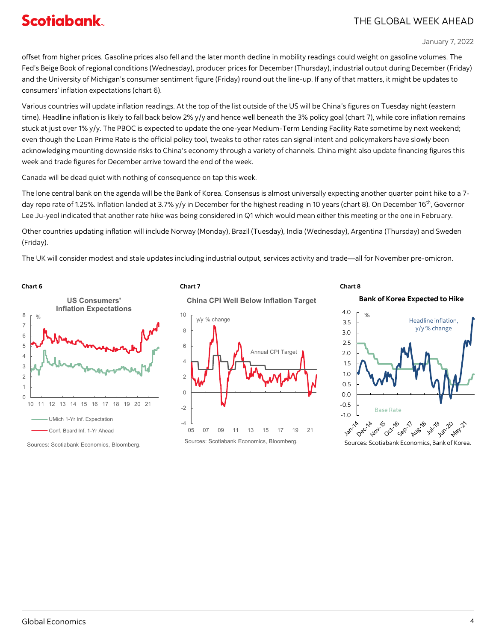# THE GLOBAL WEEK AHEAD

January 7, 2022

offset from higher prices. Gasoline prices also fell and the later month decline in mobility readings could weight on gasoline volumes. The Fed's Beige Book of regional conditions (Wednesday), producer prices for December (Thursday), industrial output during December (Friday) and the University of Michigan's consumer sentiment figure (Friday) round out the line-up. If any of that matters, it might be updates to consumers' inflation expectations (chart 6).

Various countries will update inflation readings. At the top of the list outside of the US will be China's figures on Tuesday night (eastern time). Headline inflation is likely to fall back below 2% y/y and hence well beneath the 3% policy goal (chart 7), while core inflation remains stuck at just over 1% y/y. The PBOC is expected to update the one-year Medium-Term Lending Facility Rate sometime by next weekend; even though the Loan Prime Rate is the official policy tool, tweaks to other rates can signal intent and policymakers have slowly been acknowledging mounting downside risks to China's economy through a variety of channels. China might also update financing figures this week and trade figures for December arrive toward the end of the week.

Canada will be dead quiet with nothing of consequence on tap this week.

The lone central bank on the agenda will be the Bank of Korea. Consensus is almost universally expecting another quarter point hike to a 7 day repo rate of 1.25%. Inflation landed at 3.7% y/y in December for the highest reading in 10 years (chart 8). On December 16<sup>th</sup>, Governor Lee Ju-yeol indicated that another rate hike was being considered in Q1 which would mean either this meeting or the one in February.

Other countries updating inflation will include Norway (Monday), Brazil (Tuesday), India (Wednesday), Argentina (Thursday) and Sweden (Friday).

The UK will consider modest and stale updates including industrial output, services activity and trade—all for November pre-omicron.



Sources: Scotiabank Economics, Bloomberg.





# **Bank of Korea Expected to Hike**

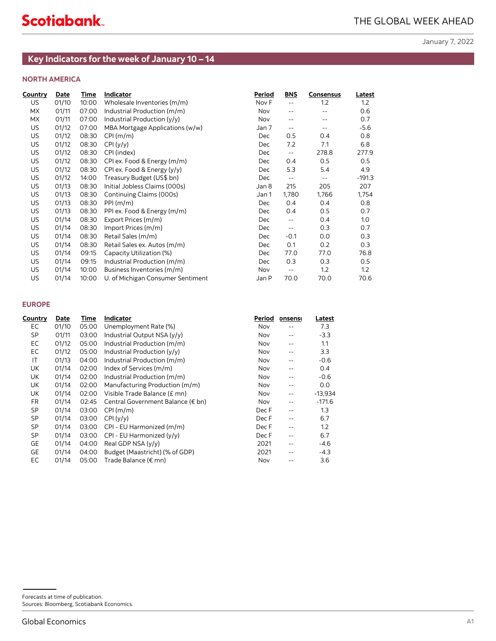# **NORTH AMERICA**

<span id="page-4-0"></span>

| <b>NORTH AMERICA</b><br>Country<br>Indicator<br>Period<br><b>BNS</b><br><b>Consensus</b><br><b>Date</b><br>Time<br>01/10<br>10:00<br>Wholesale Inventories (m/m)<br>Nov F<br>1.2<br>1.2<br>US<br>$\sim$ $\sim$<br>МX<br>01/11<br>07:00<br>Industrial Production (m/m)<br>0.6<br>Nov<br>$\sim$ $\sim$<br>$\overline{\phantom{a}}$<br>МX<br>01/11<br>07:00<br>Industrial Production (y/y)<br>Nov<br>$\overline{\phantom{a}}$ .<br>$\overline{\phantom{a}}$ .<br>US<br>01/12<br>07:00<br>MBA Mortgage Applications (w/w)<br>Jan 7<br>$\mathord{\hspace{1pt}\text{--}\hspace{1pt}}$<br>$\sim$ $-$<br>US<br>01/12<br>0.8<br>08:30<br>CPI(m/m)<br>Dec<br>0.5<br>0.4<br>US<br>01/12<br>7.2<br>08:30<br>CPI(y/y)<br>7.1<br>6.8<br>Dec<br>US<br>278.8<br>01/12<br>08:30<br>CPI (index)<br>Dec<br>$\mathord{\hspace{1pt}\text{--}\hspace{1pt}}$<br>US<br>01/12<br>08:30<br>CPI ex. Food & Energy (m/m)<br>0.4<br>0.5<br>0.5<br>Dec<br>US<br>01/12<br>08:30<br>CPI ex. Food & Energy (y/y)<br>5.3<br>5.4<br>4.9<br>Dec<br>US<br>01/12<br>14:00<br>Treasury Budget (US\$ bn)<br>Dec<br>$\mathord{\hspace{1pt}\text{--}\hspace{1pt}}$<br>$\mathord{\hspace{1pt}\text{--}\hspace{1pt}}$<br>US<br>Initial Jobless Claims (000s)<br>01/13<br>08:30<br>215<br>205<br>Jan 8<br>US<br>01/13<br>08:30<br>Continuing Claims (000s)<br>1,780<br>1,766<br>Jan 1<br>US<br>01/13<br>08:30<br>PPI(m/m)<br>0.4<br>0.4<br>0.8<br>Dec<br>US<br>01/13<br>08:30<br>PPI ex. Food & Energy (m/m)<br>0.4<br>0.5<br>0.7<br>Dec<br>US<br>01/14<br>08:30<br>Export Prices (m/m)<br>0.4<br>1.0<br>Dec<br>$\mathbb{L}^{\perp}$<br>US<br>01/14<br>08:30<br>Import Prices (m/m)<br>0.3<br>0.7<br>Dec<br>$\mathord{\hspace{1pt}\text{--}\hspace{1pt}}$<br>US<br>01/14<br>08:30<br>Retail Sales (m/m)<br>0.0<br>0.3<br>Dec<br>-0.1<br>US<br>0.1<br>0.2<br>01/14<br>08:30<br>Retail Sales ex. Autos (m/m)<br>Dec<br>US<br>01/14<br>09:15<br>Capacity Utilization (%)<br>77.0<br>77.0<br>Dec<br>US<br>01/14<br>0.3<br>09:15<br>Industrial Production (m/m)<br>0.3<br>0.5<br>Dec<br>US<br>01/14<br>10:00<br>Business Inventories (m/m)<br>1.2<br>1.2<br>Nov<br>$\mathord{\hspace{1pt}\text{--}\hspace{1pt}}$<br>US<br>01/14<br>70.0<br>10:00<br>U. of Michigan Consumer Sentiment<br>Jan P<br>70.0<br><b>EUROPE</b><br><b>Country</b><br>Indicator<br>Period<br><u>Date</u><br><u>Time</u><br>onsensi<br><u>Latest</u><br>EC<br>01/10<br>05:00 Unemployment Rate (%)<br>Nov<br>7.3<br>$\overline{\phantom{a}}$ .<br>SP<br>01/11<br>03:00<br>Industrial Output NSA (y/y)<br>Nov<br>$-3.3$<br>$\overline{\phantom{a}}$ .<br>EC<br>01/12<br>05:00 Industrial Production (m/m)<br>1.1<br>Nov<br>$\sim$ $-$<br>EC<br>3.3<br>01/12<br>05:00 Industrial Production (y/y)<br>Nov<br>$\overline{\phantom{a}}$ .<br>IT<br>01/13<br>04:00 Industrial Production (m/m)<br>$-0.6$<br>Nov<br>$\mathord{\hspace{1pt}\text{--}\hspace{1pt}}$<br>UK<br>01/14<br>02:00<br>Index of Services (m/m)<br>0.4<br>Nov<br>$\mathord{\hspace{1pt}\text{--}\hspace{1pt}}$<br>UK<br>01/14<br>02:00 Industrial Production (m/m)<br>$-0.6$<br>Nov<br>$\sim$ $-$<br>UK<br>01/14<br>02:00<br>Manufacturing Production (m/m)<br>0.0<br>Nov<br>$\mathord{\hspace{1pt}\text{--}\hspace{1pt}}$<br>UK<br>01/14<br>02:00 Visible Trade Balance (£ mn)<br>$-13,934$<br>Nov<br>$\overline{\phantom{a}}$ .<br>Central Government Balance (€ bn)<br>$-171.6$<br><b>FR</b><br>01/14<br>02:45<br>Nov<br>$\overline{\phantom{a}}$ .<br><b>SP</b><br>01/14<br>03:00 CPI (m/m)<br>Dec F<br>1.3<br>$\sim$ $-$<br>SP<br>03:00 CPI (y/y)<br>Dec F<br>6.7<br>01/14<br><b>SP</b><br>01/14<br>03:00 CPI - EU Harmonized (m/m)<br>Dec F<br>1.2<br>$\sim$ $\sim$<br>SP<br>01/14<br>03:00 CPI - EU Harmonized (y/y)<br>Dec F<br>6.7<br>$ -$<br>GE<br>01/14<br>04:00 Real GDP NSA (y/y)<br>2021<br>$-4.6$<br>$\overline{\phantom{a}}$ .<br>GE<br>01/14<br>04:00 Budget (Maastricht) (% of GDP)<br>2021<br>$-4.3$<br>$- -$ | <b>Latest</b><br>0.7<br>277.9<br>$-191.3$<br>207<br>1,754<br>0.3<br>70.6<br>EC<br>01/14<br>05:00 Trade Balance (€ mn)<br>3.6<br>Nov<br>$- -$ |                  |  | Key Indicators for the week of January 10 - 14 |  |        |
|--------------------------------------------------------------------------------------------------------------------------------------------------------------------------------------------------------------------------------------------------------------------------------------------------------------------------------------------------------------------------------------------------------------------------------------------------------------------------------------------------------------------------------------------------------------------------------------------------------------------------------------------------------------------------------------------------------------------------------------------------------------------------------------------------------------------------------------------------------------------------------------------------------------------------------------------------------------------------------------------------------------------------------------------------------------------------------------------------------------------------------------------------------------------------------------------------------------------------------------------------------------------------------------------------------------------------------------------------------------------------------------------------------------------------------------------------------------------------------------------------------------------------------------------------------------------------------------------------------------------------------------------------------------------------------------------------------------------------------------------------------------------------------------------------------------------------------------------------------------------------------------------------------------------------------------------------------------------------------------------------------------------------------------------------------------------------------------------------------------------------------------------------------------------------------------------------------------------------------------------------------------------------------------------------------------------------------------------------------------------------------------------------------------------------------------------------------------------------------------------------------------------------------------------------------------------------------------------------------------------------------------------------------------------------------------------------------------------------------------------------------------------------------------------------------------------------------------------------------------------------------------------------------------------------------------------------------------------------------------------------------------------------------------------------------------------------------------------------------------------------------------------------------------------------------------------------------------------------------------------------------------------------------------------------------------------------------------------------------------------------------------------------------------------------------------------------------------------------------------------------------------------------------------------------------------------------------------------------------------------------------------------------------------------------------------------------------------------------------------------------------------------------------------------------------------------------------------------------------------------------------------------------------------------|----------------------------------------------------------------------------------------------------------------------------------------------|------------------|--|------------------------------------------------|--|--------|
|                                                                                                                                                                                                                                                                                                                                                                                                                                                                                                                                                                                                                                                                                                                                                                                                                                                                                                                                                                                                                                                                                                                                                                                                                                                                                                                                                                                                                                                                                                                                                                                                                                                                                                                                                                                                                                                                                                                                                                                                                                                                                                                                                                                                                                                                                                                                                                                                                                                                                                                                                                                                                                                                                                                                                                                                                                                                                                                                                                                                                                                                                                                                                                                                                                                                                                                                                                                                                                                                                                                                                                                                                                                                                                                                                                                                                                                                                                                    |                                                                                                                                              |                  |  |                                                |  |        |
|                                                                                                                                                                                                                                                                                                                                                                                                                                                                                                                                                                                                                                                                                                                                                                                                                                                                                                                                                                                                                                                                                                                                                                                                                                                                                                                                                                                                                                                                                                                                                                                                                                                                                                                                                                                                                                                                                                                                                                                                                                                                                                                                                                                                                                                                                                                                                                                                                                                                                                                                                                                                                                                                                                                                                                                                                                                                                                                                                                                                                                                                                                                                                                                                                                                                                                                                                                                                                                                                                                                                                                                                                                                                                                                                                                                                                                                                                                                    |                                                                                                                                              |                  |  |                                                |  |        |
|                                                                                                                                                                                                                                                                                                                                                                                                                                                                                                                                                                                                                                                                                                                                                                                                                                                                                                                                                                                                                                                                                                                                                                                                                                                                                                                                                                                                                                                                                                                                                                                                                                                                                                                                                                                                                                                                                                                                                                                                                                                                                                                                                                                                                                                                                                                                                                                                                                                                                                                                                                                                                                                                                                                                                                                                                                                                                                                                                                                                                                                                                                                                                                                                                                                                                                                                                                                                                                                                                                                                                                                                                                                                                                                                                                                                                                                                                                                    |                                                                                                                                              |                  |  |                                                |  |        |
|                                                                                                                                                                                                                                                                                                                                                                                                                                                                                                                                                                                                                                                                                                                                                                                                                                                                                                                                                                                                                                                                                                                                                                                                                                                                                                                                                                                                                                                                                                                                                                                                                                                                                                                                                                                                                                                                                                                                                                                                                                                                                                                                                                                                                                                                                                                                                                                                                                                                                                                                                                                                                                                                                                                                                                                                                                                                                                                                                                                                                                                                                                                                                                                                                                                                                                                                                                                                                                                                                                                                                                                                                                                                                                                                                                                                                                                                                                                    |                                                                                                                                              |                  |  |                                                |  |        |
|                                                                                                                                                                                                                                                                                                                                                                                                                                                                                                                                                                                                                                                                                                                                                                                                                                                                                                                                                                                                                                                                                                                                                                                                                                                                                                                                                                                                                                                                                                                                                                                                                                                                                                                                                                                                                                                                                                                                                                                                                                                                                                                                                                                                                                                                                                                                                                                                                                                                                                                                                                                                                                                                                                                                                                                                                                                                                                                                                                                                                                                                                                                                                                                                                                                                                                                                                                                                                                                                                                                                                                                                                                                                                                                                                                                                                                                                                                                    |                                                                                                                                              |                  |  |                                                |  |        |
|                                                                                                                                                                                                                                                                                                                                                                                                                                                                                                                                                                                                                                                                                                                                                                                                                                                                                                                                                                                                                                                                                                                                                                                                                                                                                                                                                                                                                                                                                                                                                                                                                                                                                                                                                                                                                                                                                                                                                                                                                                                                                                                                                                                                                                                                                                                                                                                                                                                                                                                                                                                                                                                                                                                                                                                                                                                                                                                                                                                                                                                                                                                                                                                                                                                                                                                                                                                                                                                                                                                                                                                                                                                                                                                                                                                                                                                                                                                    |                                                                                                                                              |                  |  |                                                |  | $-5.6$ |
|                                                                                                                                                                                                                                                                                                                                                                                                                                                                                                                                                                                                                                                                                                                                                                                                                                                                                                                                                                                                                                                                                                                                                                                                                                                                                                                                                                                                                                                                                                                                                                                                                                                                                                                                                                                                                                                                                                                                                                                                                                                                                                                                                                                                                                                                                                                                                                                                                                                                                                                                                                                                                                                                                                                                                                                                                                                                                                                                                                                                                                                                                                                                                                                                                                                                                                                                                                                                                                                                                                                                                                                                                                                                                                                                                                                                                                                                                                                    |                                                                                                                                              |                  |  |                                                |  |        |
|                                                                                                                                                                                                                                                                                                                                                                                                                                                                                                                                                                                                                                                                                                                                                                                                                                                                                                                                                                                                                                                                                                                                                                                                                                                                                                                                                                                                                                                                                                                                                                                                                                                                                                                                                                                                                                                                                                                                                                                                                                                                                                                                                                                                                                                                                                                                                                                                                                                                                                                                                                                                                                                                                                                                                                                                                                                                                                                                                                                                                                                                                                                                                                                                                                                                                                                                                                                                                                                                                                                                                                                                                                                                                                                                                                                                                                                                                                                    |                                                                                                                                              |                  |  |                                                |  |        |
|                                                                                                                                                                                                                                                                                                                                                                                                                                                                                                                                                                                                                                                                                                                                                                                                                                                                                                                                                                                                                                                                                                                                                                                                                                                                                                                                                                                                                                                                                                                                                                                                                                                                                                                                                                                                                                                                                                                                                                                                                                                                                                                                                                                                                                                                                                                                                                                                                                                                                                                                                                                                                                                                                                                                                                                                                                                                                                                                                                                                                                                                                                                                                                                                                                                                                                                                                                                                                                                                                                                                                                                                                                                                                                                                                                                                                                                                                                                    |                                                                                                                                              |                  |  |                                                |  |        |
|                                                                                                                                                                                                                                                                                                                                                                                                                                                                                                                                                                                                                                                                                                                                                                                                                                                                                                                                                                                                                                                                                                                                                                                                                                                                                                                                                                                                                                                                                                                                                                                                                                                                                                                                                                                                                                                                                                                                                                                                                                                                                                                                                                                                                                                                                                                                                                                                                                                                                                                                                                                                                                                                                                                                                                                                                                                                                                                                                                                                                                                                                                                                                                                                                                                                                                                                                                                                                                                                                                                                                                                                                                                                                                                                                                                                                                                                                                                    |                                                                                                                                              |                  |  |                                                |  |        |
|                                                                                                                                                                                                                                                                                                                                                                                                                                                                                                                                                                                                                                                                                                                                                                                                                                                                                                                                                                                                                                                                                                                                                                                                                                                                                                                                                                                                                                                                                                                                                                                                                                                                                                                                                                                                                                                                                                                                                                                                                                                                                                                                                                                                                                                                                                                                                                                                                                                                                                                                                                                                                                                                                                                                                                                                                                                                                                                                                                                                                                                                                                                                                                                                                                                                                                                                                                                                                                                                                                                                                                                                                                                                                                                                                                                                                                                                                                                    |                                                                                                                                              |                  |  |                                                |  |        |
|                                                                                                                                                                                                                                                                                                                                                                                                                                                                                                                                                                                                                                                                                                                                                                                                                                                                                                                                                                                                                                                                                                                                                                                                                                                                                                                                                                                                                                                                                                                                                                                                                                                                                                                                                                                                                                                                                                                                                                                                                                                                                                                                                                                                                                                                                                                                                                                                                                                                                                                                                                                                                                                                                                                                                                                                                                                                                                                                                                                                                                                                                                                                                                                                                                                                                                                                                                                                                                                                                                                                                                                                                                                                                                                                                                                                                                                                                                                    |                                                                                                                                              |                  |  |                                                |  |        |
|                                                                                                                                                                                                                                                                                                                                                                                                                                                                                                                                                                                                                                                                                                                                                                                                                                                                                                                                                                                                                                                                                                                                                                                                                                                                                                                                                                                                                                                                                                                                                                                                                                                                                                                                                                                                                                                                                                                                                                                                                                                                                                                                                                                                                                                                                                                                                                                                                                                                                                                                                                                                                                                                                                                                                                                                                                                                                                                                                                                                                                                                                                                                                                                                                                                                                                                                                                                                                                                                                                                                                                                                                                                                                                                                                                                                                                                                                                                    |                                                                                                                                              |                  |  |                                                |  |        |
|                                                                                                                                                                                                                                                                                                                                                                                                                                                                                                                                                                                                                                                                                                                                                                                                                                                                                                                                                                                                                                                                                                                                                                                                                                                                                                                                                                                                                                                                                                                                                                                                                                                                                                                                                                                                                                                                                                                                                                                                                                                                                                                                                                                                                                                                                                                                                                                                                                                                                                                                                                                                                                                                                                                                                                                                                                                                                                                                                                                                                                                                                                                                                                                                                                                                                                                                                                                                                                                                                                                                                                                                                                                                                                                                                                                                                                                                                                                    |                                                                                                                                              |                  |  |                                                |  |        |
|                                                                                                                                                                                                                                                                                                                                                                                                                                                                                                                                                                                                                                                                                                                                                                                                                                                                                                                                                                                                                                                                                                                                                                                                                                                                                                                                                                                                                                                                                                                                                                                                                                                                                                                                                                                                                                                                                                                                                                                                                                                                                                                                                                                                                                                                                                                                                                                                                                                                                                                                                                                                                                                                                                                                                                                                                                                                                                                                                                                                                                                                                                                                                                                                                                                                                                                                                                                                                                                                                                                                                                                                                                                                                                                                                                                                                                                                                                                    |                                                                                                                                              |                  |  |                                                |  |        |
|                                                                                                                                                                                                                                                                                                                                                                                                                                                                                                                                                                                                                                                                                                                                                                                                                                                                                                                                                                                                                                                                                                                                                                                                                                                                                                                                                                                                                                                                                                                                                                                                                                                                                                                                                                                                                                                                                                                                                                                                                                                                                                                                                                                                                                                                                                                                                                                                                                                                                                                                                                                                                                                                                                                                                                                                                                                                                                                                                                                                                                                                                                                                                                                                                                                                                                                                                                                                                                                                                                                                                                                                                                                                                                                                                                                                                                                                                                                    |                                                                                                                                              |                  |  |                                                |  |        |
|                                                                                                                                                                                                                                                                                                                                                                                                                                                                                                                                                                                                                                                                                                                                                                                                                                                                                                                                                                                                                                                                                                                                                                                                                                                                                                                                                                                                                                                                                                                                                                                                                                                                                                                                                                                                                                                                                                                                                                                                                                                                                                                                                                                                                                                                                                                                                                                                                                                                                                                                                                                                                                                                                                                                                                                                                                                                                                                                                                                                                                                                                                                                                                                                                                                                                                                                                                                                                                                                                                                                                                                                                                                                                                                                                                                                                                                                                                                    |                                                                                                                                              |                  |  |                                                |  |        |
|                                                                                                                                                                                                                                                                                                                                                                                                                                                                                                                                                                                                                                                                                                                                                                                                                                                                                                                                                                                                                                                                                                                                                                                                                                                                                                                                                                                                                                                                                                                                                                                                                                                                                                                                                                                                                                                                                                                                                                                                                                                                                                                                                                                                                                                                                                                                                                                                                                                                                                                                                                                                                                                                                                                                                                                                                                                                                                                                                                                                                                                                                                                                                                                                                                                                                                                                                                                                                                                                                                                                                                                                                                                                                                                                                                                                                                                                                                                    |                                                                                                                                              |                  |  |                                                |  |        |
|                                                                                                                                                                                                                                                                                                                                                                                                                                                                                                                                                                                                                                                                                                                                                                                                                                                                                                                                                                                                                                                                                                                                                                                                                                                                                                                                                                                                                                                                                                                                                                                                                                                                                                                                                                                                                                                                                                                                                                                                                                                                                                                                                                                                                                                                                                                                                                                                                                                                                                                                                                                                                                                                                                                                                                                                                                                                                                                                                                                                                                                                                                                                                                                                                                                                                                                                                                                                                                                                                                                                                                                                                                                                                                                                                                                                                                                                                                                    |                                                                                                                                              |                  |  |                                                |  |        |
|                                                                                                                                                                                                                                                                                                                                                                                                                                                                                                                                                                                                                                                                                                                                                                                                                                                                                                                                                                                                                                                                                                                                                                                                                                                                                                                                                                                                                                                                                                                                                                                                                                                                                                                                                                                                                                                                                                                                                                                                                                                                                                                                                                                                                                                                                                                                                                                                                                                                                                                                                                                                                                                                                                                                                                                                                                                                                                                                                                                                                                                                                                                                                                                                                                                                                                                                                                                                                                                                                                                                                                                                                                                                                                                                                                                                                                                                                                                    |                                                                                                                                              |                  |  |                                                |  | 76.8   |
|                                                                                                                                                                                                                                                                                                                                                                                                                                                                                                                                                                                                                                                                                                                                                                                                                                                                                                                                                                                                                                                                                                                                                                                                                                                                                                                                                                                                                                                                                                                                                                                                                                                                                                                                                                                                                                                                                                                                                                                                                                                                                                                                                                                                                                                                                                                                                                                                                                                                                                                                                                                                                                                                                                                                                                                                                                                                                                                                                                                                                                                                                                                                                                                                                                                                                                                                                                                                                                                                                                                                                                                                                                                                                                                                                                                                                                                                                                                    |                                                                                                                                              |                  |  |                                                |  |        |
|                                                                                                                                                                                                                                                                                                                                                                                                                                                                                                                                                                                                                                                                                                                                                                                                                                                                                                                                                                                                                                                                                                                                                                                                                                                                                                                                                                                                                                                                                                                                                                                                                                                                                                                                                                                                                                                                                                                                                                                                                                                                                                                                                                                                                                                                                                                                                                                                                                                                                                                                                                                                                                                                                                                                                                                                                                                                                                                                                                                                                                                                                                                                                                                                                                                                                                                                                                                                                                                                                                                                                                                                                                                                                                                                                                                                                                                                                                                    |                                                                                                                                              |                  |  |                                                |  |        |
|                                                                                                                                                                                                                                                                                                                                                                                                                                                                                                                                                                                                                                                                                                                                                                                                                                                                                                                                                                                                                                                                                                                                                                                                                                                                                                                                                                                                                                                                                                                                                                                                                                                                                                                                                                                                                                                                                                                                                                                                                                                                                                                                                                                                                                                                                                                                                                                                                                                                                                                                                                                                                                                                                                                                                                                                                                                                                                                                                                                                                                                                                                                                                                                                                                                                                                                                                                                                                                                                                                                                                                                                                                                                                                                                                                                                                                                                                                                    |                                                                                                                                              |                  |  |                                                |  |        |
|                                                                                                                                                                                                                                                                                                                                                                                                                                                                                                                                                                                                                                                                                                                                                                                                                                                                                                                                                                                                                                                                                                                                                                                                                                                                                                                                                                                                                                                                                                                                                                                                                                                                                                                                                                                                                                                                                                                                                                                                                                                                                                                                                                                                                                                                                                                                                                                                                                                                                                                                                                                                                                                                                                                                                                                                                                                                                                                                                                                                                                                                                                                                                                                                                                                                                                                                                                                                                                                                                                                                                                                                                                                                                                                                                                                                                                                                                                                    |                                                                                                                                              |                  |  |                                                |  |        |
|                                                                                                                                                                                                                                                                                                                                                                                                                                                                                                                                                                                                                                                                                                                                                                                                                                                                                                                                                                                                                                                                                                                                                                                                                                                                                                                                                                                                                                                                                                                                                                                                                                                                                                                                                                                                                                                                                                                                                                                                                                                                                                                                                                                                                                                                                                                                                                                                                                                                                                                                                                                                                                                                                                                                                                                                                                                                                                                                                                                                                                                                                                                                                                                                                                                                                                                                                                                                                                                                                                                                                                                                                                                                                                                                                                                                                                                                                                                    |                                                                                                                                              |                  |  |                                                |  |        |
|                                                                                                                                                                                                                                                                                                                                                                                                                                                                                                                                                                                                                                                                                                                                                                                                                                                                                                                                                                                                                                                                                                                                                                                                                                                                                                                                                                                                                                                                                                                                                                                                                                                                                                                                                                                                                                                                                                                                                                                                                                                                                                                                                                                                                                                                                                                                                                                                                                                                                                                                                                                                                                                                                                                                                                                                                                                                                                                                                                                                                                                                                                                                                                                                                                                                                                                                                                                                                                                                                                                                                                                                                                                                                                                                                                                                                                                                                                                    |                                                                                                                                              |                  |  |                                                |  |        |
|                                                                                                                                                                                                                                                                                                                                                                                                                                                                                                                                                                                                                                                                                                                                                                                                                                                                                                                                                                                                                                                                                                                                                                                                                                                                                                                                                                                                                                                                                                                                                                                                                                                                                                                                                                                                                                                                                                                                                                                                                                                                                                                                                                                                                                                                                                                                                                                                                                                                                                                                                                                                                                                                                                                                                                                                                                                                                                                                                                                                                                                                                                                                                                                                                                                                                                                                                                                                                                                                                                                                                                                                                                                                                                                                                                                                                                                                                                                    |                                                                                                                                              |                  |  |                                                |  |        |
|                                                                                                                                                                                                                                                                                                                                                                                                                                                                                                                                                                                                                                                                                                                                                                                                                                                                                                                                                                                                                                                                                                                                                                                                                                                                                                                                                                                                                                                                                                                                                                                                                                                                                                                                                                                                                                                                                                                                                                                                                                                                                                                                                                                                                                                                                                                                                                                                                                                                                                                                                                                                                                                                                                                                                                                                                                                                                                                                                                                                                                                                                                                                                                                                                                                                                                                                                                                                                                                                                                                                                                                                                                                                                                                                                                                                                                                                                                                    |                                                                                                                                              |                  |  |                                                |  |        |
|                                                                                                                                                                                                                                                                                                                                                                                                                                                                                                                                                                                                                                                                                                                                                                                                                                                                                                                                                                                                                                                                                                                                                                                                                                                                                                                                                                                                                                                                                                                                                                                                                                                                                                                                                                                                                                                                                                                                                                                                                                                                                                                                                                                                                                                                                                                                                                                                                                                                                                                                                                                                                                                                                                                                                                                                                                                                                                                                                                                                                                                                                                                                                                                                                                                                                                                                                                                                                                                                                                                                                                                                                                                                                                                                                                                                                                                                                                                    |                                                                                                                                              |                  |  |                                                |  |        |
|                                                                                                                                                                                                                                                                                                                                                                                                                                                                                                                                                                                                                                                                                                                                                                                                                                                                                                                                                                                                                                                                                                                                                                                                                                                                                                                                                                                                                                                                                                                                                                                                                                                                                                                                                                                                                                                                                                                                                                                                                                                                                                                                                                                                                                                                                                                                                                                                                                                                                                                                                                                                                                                                                                                                                                                                                                                                                                                                                                                                                                                                                                                                                                                                                                                                                                                                                                                                                                                                                                                                                                                                                                                                                                                                                                                                                                                                                                                    |                                                                                                                                              |                  |  |                                                |  |        |
|                                                                                                                                                                                                                                                                                                                                                                                                                                                                                                                                                                                                                                                                                                                                                                                                                                                                                                                                                                                                                                                                                                                                                                                                                                                                                                                                                                                                                                                                                                                                                                                                                                                                                                                                                                                                                                                                                                                                                                                                                                                                                                                                                                                                                                                                                                                                                                                                                                                                                                                                                                                                                                                                                                                                                                                                                                                                                                                                                                                                                                                                                                                                                                                                                                                                                                                                                                                                                                                                                                                                                                                                                                                                                                                                                                                                                                                                                                                    |                                                                                                                                              |                  |  |                                                |  |        |
|                                                                                                                                                                                                                                                                                                                                                                                                                                                                                                                                                                                                                                                                                                                                                                                                                                                                                                                                                                                                                                                                                                                                                                                                                                                                                                                                                                                                                                                                                                                                                                                                                                                                                                                                                                                                                                                                                                                                                                                                                                                                                                                                                                                                                                                                                                                                                                                                                                                                                                                                                                                                                                                                                                                                                                                                                                                                                                                                                                                                                                                                                                                                                                                                                                                                                                                                                                                                                                                                                                                                                                                                                                                                                                                                                                                                                                                                                                                    |                                                                                                                                              |                  |  |                                                |  |        |
|                                                                                                                                                                                                                                                                                                                                                                                                                                                                                                                                                                                                                                                                                                                                                                                                                                                                                                                                                                                                                                                                                                                                                                                                                                                                                                                                                                                                                                                                                                                                                                                                                                                                                                                                                                                                                                                                                                                                                                                                                                                                                                                                                                                                                                                                                                                                                                                                                                                                                                                                                                                                                                                                                                                                                                                                                                                                                                                                                                                                                                                                                                                                                                                                                                                                                                                                                                                                                                                                                                                                                                                                                                                                                                                                                                                                                                                                                                                    |                                                                                                                                              |                  |  |                                                |  |        |
|                                                                                                                                                                                                                                                                                                                                                                                                                                                                                                                                                                                                                                                                                                                                                                                                                                                                                                                                                                                                                                                                                                                                                                                                                                                                                                                                                                                                                                                                                                                                                                                                                                                                                                                                                                                                                                                                                                                                                                                                                                                                                                                                                                                                                                                                                                                                                                                                                                                                                                                                                                                                                                                                                                                                                                                                                                                                                                                                                                                                                                                                                                                                                                                                                                                                                                                                                                                                                                                                                                                                                                                                                                                                                                                                                                                                                                                                                                                    |                                                                                                                                              |                  |  |                                                |  |        |
|                                                                                                                                                                                                                                                                                                                                                                                                                                                                                                                                                                                                                                                                                                                                                                                                                                                                                                                                                                                                                                                                                                                                                                                                                                                                                                                                                                                                                                                                                                                                                                                                                                                                                                                                                                                                                                                                                                                                                                                                                                                                                                                                                                                                                                                                                                                                                                                                                                                                                                                                                                                                                                                                                                                                                                                                                                                                                                                                                                                                                                                                                                                                                                                                                                                                                                                                                                                                                                                                                                                                                                                                                                                                                                                                                                                                                                                                                                                    |                                                                                                                                              |                  |  |                                                |  |        |
|                                                                                                                                                                                                                                                                                                                                                                                                                                                                                                                                                                                                                                                                                                                                                                                                                                                                                                                                                                                                                                                                                                                                                                                                                                                                                                                                                                                                                                                                                                                                                                                                                                                                                                                                                                                                                                                                                                                                                                                                                                                                                                                                                                                                                                                                                                                                                                                                                                                                                                                                                                                                                                                                                                                                                                                                                                                                                                                                                                                                                                                                                                                                                                                                                                                                                                                                                                                                                                                                                                                                                                                                                                                                                                                                                                                                                                                                                                                    |                                                                                                                                              |                  |  |                                                |  |        |
|                                                                                                                                                                                                                                                                                                                                                                                                                                                                                                                                                                                                                                                                                                                                                                                                                                                                                                                                                                                                                                                                                                                                                                                                                                                                                                                                                                                                                                                                                                                                                                                                                                                                                                                                                                                                                                                                                                                                                                                                                                                                                                                                                                                                                                                                                                                                                                                                                                                                                                                                                                                                                                                                                                                                                                                                                                                                                                                                                                                                                                                                                                                                                                                                                                                                                                                                                                                                                                                                                                                                                                                                                                                                                                                                                                                                                                                                                                                    |                                                                                                                                              |                  |  |                                                |  |        |
|                                                                                                                                                                                                                                                                                                                                                                                                                                                                                                                                                                                                                                                                                                                                                                                                                                                                                                                                                                                                                                                                                                                                                                                                                                                                                                                                                                                                                                                                                                                                                                                                                                                                                                                                                                                                                                                                                                                                                                                                                                                                                                                                                                                                                                                                                                                                                                                                                                                                                                                                                                                                                                                                                                                                                                                                                                                                                                                                                                                                                                                                                                                                                                                                                                                                                                                                                                                                                                                                                                                                                                                                                                                                                                                                                                                                                                                                                                                    |                                                                                                                                              |                  |  |                                                |  |        |
|                                                                                                                                                                                                                                                                                                                                                                                                                                                                                                                                                                                                                                                                                                                                                                                                                                                                                                                                                                                                                                                                                                                                                                                                                                                                                                                                                                                                                                                                                                                                                                                                                                                                                                                                                                                                                                                                                                                                                                                                                                                                                                                                                                                                                                                                                                                                                                                                                                                                                                                                                                                                                                                                                                                                                                                                                                                                                                                                                                                                                                                                                                                                                                                                                                                                                                                                                                                                                                                                                                                                                                                                                                                                                                                                                                                                                                                                                                                    |                                                                                                                                              |                  |  |                                                |  |        |
|                                                                                                                                                                                                                                                                                                                                                                                                                                                                                                                                                                                                                                                                                                                                                                                                                                                                                                                                                                                                                                                                                                                                                                                                                                                                                                                                                                                                                                                                                                                                                                                                                                                                                                                                                                                                                                                                                                                                                                                                                                                                                                                                                                                                                                                                                                                                                                                                                                                                                                                                                                                                                                                                                                                                                                                                                                                                                                                                                                                                                                                                                                                                                                                                                                                                                                                                                                                                                                                                                                                                                                                                                                                                                                                                                                                                                                                                                                                    |                                                                                                                                              |                  |  |                                                |  |        |
|                                                                                                                                                                                                                                                                                                                                                                                                                                                                                                                                                                                                                                                                                                                                                                                                                                                                                                                                                                                                                                                                                                                                                                                                                                                                                                                                                                                                                                                                                                                                                                                                                                                                                                                                                                                                                                                                                                                                                                                                                                                                                                                                                                                                                                                                                                                                                                                                                                                                                                                                                                                                                                                                                                                                                                                                                                                                                                                                                                                                                                                                                                                                                                                                                                                                                                                                                                                                                                                                                                                                                                                                                                                                                                                                                                                                                                                                                                                    |                                                                                                                                              |                  |  |                                                |  |        |
|                                                                                                                                                                                                                                                                                                                                                                                                                                                                                                                                                                                                                                                                                                                                                                                                                                                                                                                                                                                                                                                                                                                                                                                                                                                                                                                                                                                                                                                                                                                                                                                                                                                                                                                                                                                                                                                                                                                                                                                                                                                                                                                                                                                                                                                                                                                                                                                                                                                                                                                                                                                                                                                                                                                                                                                                                                                                                                                                                                                                                                                                                                                                                                                                                                                                                                                                                                                                                                                                                                                                                                                                                                                                                                                                                                                                                                                                                                                    |                                                                                                                                              |                  |  |                                                |  |        |
|                                                                                                                                                                                                                                                                                                                                                                                                                                                                                                                                                                                                                                                                                                                                                                                                                                                                                                                                                                                                                                                                                                                                                                                                                                                                                                                                                                                                                                                                                                                                                                                                                                                                                                                                                                                                                                                                                                                                                                                                                                                                                                                                                                                                                                                                                                                                                                                                                                                                                                                                                                                                                                                                                                                                                                                                                                                                                                                                                                                                                                                                                                                                                                                                                                                                                                                                                                                                                                                                                                                                                                                                                                                                                                                                                                                                                                                                                                                    |                                                                                                                                              |                  |  |                                                |  |        |
|                                                                                                                                                                                                                                                                                                                                                                                                                                                                                                                                                                                                                                                                                                                                                                                                                                                                                                                                                                                                                                                                                                                                                                                                                                                                                                                                                                                                                                                                                                                                                                                                                                                                                                                                                                                                                                                                                                                                                                                                                                                                                                                                                                                                                                                                                                                                                                                                                                                                                                                                                                                                                                                                                                                                                                                                                                                                                                                                                                                                                                                                                                                                                                                                                                                                                                                                                                                                                                                                                                                                                                                                                                                                                                                                                                                                                                                                                                                    |                                                                                                                                              |                  |  |                                                |  |        |
|                                                                                                                                                                                                                                                                                                                                                                                                                                                                                                                                                                                                                                                                                                                                                                                                                                                                                                                                                                                                                                                                                                                                                                                                                                                                                                                                                                                                                                                                                                                                                                                                                                                                                                                                                                                                                                                                                                                                                                                                                                                                                                                                                                                                                                                                                                                                                                                                                                                                                                                                                                                                                                                                                                                                                                                                                                                                                                                                                                                                                                                                                                                                                                                                                                                                                                                                                                                                                                                                                                                                                                                                                                                                                                                                                                                                                                                                                                                    |                                                                                                                                              |                  |  |                                                |  |        |
|                                                                                                                                                                                                                                                                                                                                                                                                                                                                                                                                                                                                                                                                                                                                                                                                                                                                                                                                                                                                                                                                                                                                                                                                                                                                                                                                                                                                                                                                                                                                                                                                                                                                                                                                                                                                                                                                                                                                                                                                                                                                                                                                                                                                                                                                                                                                                                                                                                                                                                                                                                                                                                                                                                                                                                                                                                                                                                                                                                                                                                                                                                                                                                                                                                                                                                                                                                                                                                                                                                                                                                                                                                                                                                                                                                                                                                                                                                                    |                                                                                                                                              |                  |  |                                                |  |        |
|                                                                                                                                                                                                                                                                                                                                                                                                                                                                                                                                                                                                                                                                                                                                                                                                                                                                                                                                                                                                                                                                                                                                                                                                                                                                                                                                                                                                                                                                                                                                                                                                                                                                                                                                                                                                                                                                                                                                                                                                                                                                                                                                                                                                                                                                                                                                                                                                                                                                                                                                                                                                                                                                                                                                                                                                                                                                                                                                                                                                                                                                                                                                                                                                                                                                                                                                                                                                                                                                                                                                                                                                                                                                                                                                                                                                                                                                                                                    |                                                                                                                                              |                  |  |                                                |  |        |
|                                                                                                                                                                                                                                                                                                                                                                                                                                                                                                                                                                                                                                                                                                                                                                                                                                                                                                                                                                                                                                                                                                                                                                                                                                                                                                                                                                                                                                                                                                                                                                                                                                                                                                                                                                                                                                                                                                                                                                                                                                                                                                                                                                                                                                                                                                                                                                                                                                                                                                                                                                                                                                                                                                                                                                                                                                                                                                                                                                                                                                                                                                                                                                                                                                                                                                                                                                                                                                                                                                                                                                                                                                                                                                                                                                                                                                                                                                                    |                                                                                                                                              |                  |  |                                                |  |        |
|                                                                                                                                                                                                                                                                                                                                                                                                                                                                                                                                                                                                                                                                                                                                                                                                                                                                                                                                                                                                                                                                                                                                                                                                                                                                                                                                                                                                                                                                                                                                                                                                                                                                                                                                                                                                                                                                                                                                                                                                                                                                                                                                                                                                                                                                                                                                                                                                                                                                                                                                                                                                                                                                                                                                                                                                                                                                                                                                                                                                                                                                                                                                                                                                                                                                                                                                                                                                                                                                                                                                                                                                                                                                                                                                                                                                                                                                                                                    |                                                                                                                                              |                  |  |                                                |  |        |
|                                                                                                                                                                                                                                                                                                                                                                                                                                                                                                                                                                                                                                                                                                                                                                                                                                                                                                                                                                                                                                                                                                                                                                                                                                                                                                                                                                                                                                                                                                                                                                                                                                                                                                                                                                                                                                                                                                                                                                                                                                                                                                                                                                                                                                                                                                                                                                                                                                                                                                                                                                                                                                                                                                                                                                                                                                                                                                                                                                                                                                                                                                                                                                                                                                                                                                                                                                                                                                                                                                                                                                                                                                                                                                                                                                                                                                                                                                                    |                                                                                                                                              |                  |  |                                                |  |        |
|                                                                                                                                                                                                                                                                                                                                                                                                                                                                                                                                                                                                                                                                                                                                                                                                                                                                                                                                                                                                                                                                                                                                                                                                                                                                                                                                                                                                                                                                                                                                                                                                                                                                                                                                                                                                                                                                                                                                                                                                                                                                                                                                                                                                                                                                                                                                                                                                                                                                                                                                                                                                                                                                                                                                                                                                                                                                                                                                                                                                                                                                                                                                                                                                                                                                                                                                                                                                                                                                                                                                                                                                                                                                                                                                                                                                                                                                                                                    |                                                                                                                                              |                  |  |                                                |  |        |
|                                                                                                                                                                                                                                                                                                                                                                                                                                                                                                                                                                                                                                                                                                                                                                                                                                                                                                                                                                                                                                                                                                                                                                                                                                                                                                                                                                                                                                                                                                                                                                                                                                                                                                                                                                                                                                                                                                                                                                                                                                                                                                                                                                                                                                                                                                                                                                                                                                                                                                                                                                                                                                                                                                                                                                                                                                                                                                                                                                                                                                                                                                                                                                                                                                                                                                                                                                                                                                                                                                                                                                                                                                                                                                                                                                                                                                                                                                                    |                                                                                                                                              |                  |  |                                                |  |        |
|                                                                                                                                                                                                                                                                                                                                                                                                                                                                                                                                                                                                                                                                                                                                                                                                                                                                                                                                                                                                                                                                                                                                                                                                                                                                                                                                                                                                                                                                                                                                                                                                                                                                                                                                                                                                                                                                                                                                                                                                                                                                                                                                                                                                                                                                                                                                                                                                                                                                                                                                                                                                                                                                                                                                                                                                                                                                                                                                                                                                                                                                                                                                                                                                                                                                                                                                                                                                                                                                                                                                                                                                                                                                                                                                                                                                                                                                                                                    |                                                                                                                                              |                  |  |                                                |  |        |
|                                                                                                                                                                                                                                                                                                                                                                                                                                                                                                                                                                                                                                                                                                                                                                                                                                                                                                                                                                                                                                                                                                                                                                                                                                                                                                                                                                                                                                                                                                                                                                                                                                                                                                                                                                                                                                                                                                                                                                                                                                                                                                                                                                                                                                                                                                                                                                                                                                                                                                                                                                                                                                                                                                                                                                                                                                                                                                                                                                                                                                                                                                                                                                                                                                                                                                                                                                                                                                                                                                                                                                                                                                                                                                                                                                                                                                                                                                                    |                                                                                                                                              |                  |  |                                                |  |        |
| Forecasts at time of publication.                                                                                                                                                                                                                                                                                                                                                                                                                                                                                                                                                                                                                                                                                                                                                                                                                                                                                                                                                                                                                                                                                                                                                                                                                                                                                                                                                                                                                                                                                                                                                                                                                                                                                                                                                                                                                                                                                                                                                                                                                                                                                                                                                                                                                                                                                                                                                                                                                                                                                                                                                                                                                                                                                                                                                                                                                                                                                                                                                                                                                                                                                                                                                                                                                                                                                                                                                                                                                                                                                                                                                                                                                                                                                                                                                                                                                                                                                  |                                                                                                                                              |                  |  |                                                |  |        |
| Sources: Bloomberg, Scotiabank Economics.                                                                                                                                                                                                                                                                                                                                                                                                                                                                                                                                                                                                                                                                                                                                                                                                                                                                                                                                                                                                                                                                                                                                                                                                                                                                                                                                                                                                                                                                                                                                                                                                                                                                                                                                                                                                                                                                                                                                                                                                                                                                                                                                                                                                                                                                                                                                                                                                                                                                                                                                                                                                                                                                                                                                                                                                                                                                                                                                                                                                                                                                                                                                                                                                                                                                                                                                                                                                                                                                                                                                                                                                                                                                                                                                                                                                                                                                          |                                                                                                                                              | Global Economics |  |                                                |  |        |

# **EUROPE**

| <b>Country</b> | Date  | Time  | Indicator                         | Period | onsensi | Latest    |
|----------------|-------|-------|-----------------------------------|--------|---------|-----------|
| EC             | 01/10 | 05:00 | Unemployment Rate (%)             | Nov    |         | 7.3       |
| <b>SP</b>      | 01/11 | 03:00 | Industrial Output NSA (y/y)       | Nov    | --      | $-3.3$    |
| EC             | 01/12 | 05:00 | Industrial Production (m/m)       | Nov    | --      | 1.1       |
| EC             | 01/12 | 05:00 | Industrial Production (y/y)       | Nov    | $-$     | 3.3       |
| IT             | 01/13 | 04:00 | Industrial Production (m/m)       | Nov    |         | $-0.6$    |
| <b>UK</b>      | 01/14 | 02:00 | Index of Services (m/m)           | Nov    |         | 0.4       |
| <b>UK</b>      | 01/14 | 02:00 | Industrial Production (m/m)       | Nov    |         | $-0.6$    |
| <b>UK</b>      | 01/14 | 02:00 | Manufacturing Production (m/m)    | Nov    | $-1$    | 0.0       |
| <b>UK</b>      | 01/14 | 02:00 | Visible Trade Balance (£ mn)      | Nov    | $- -$   | $-13,934$ |
| <b>FR</b>      | 01/14 | 02:45 | Central Government Balance (€ bn) | Nov    |         | $-171.6$  |
| <b>SP</b>      | 01/14 | 03:00 | CPI(m/m)                          | Dec F  |         | 1.3       |
| <b>SP</b>      | 01/14 | 03:00 | CPI(y/y)                          | Dec F  |         | 6.7       |
| <b>SP</b>      | 01/14 | 03:00 | CPI - EU Harmonized (m/m)         | Dec F  |         | 1.2       |
| <b>SP</b>      | 01/14 | 03:00 | CPI - EU Harmonized (y/y)         | Dec F  | --      | 6.7       |
| GE             | 01/14 | 04:00 | Real GDP NSA (y/y)                | 2021   | --      | $-4.6$    |
| GE             | 01/14 | 04:00 | Budget (Maastricht) (% of GDP)    | 2021   | --      | $-4.3$    |
| EC             | 01/14 | 05:00 | Trade Balance (€ mn)              | Nov    |         | 3.6       |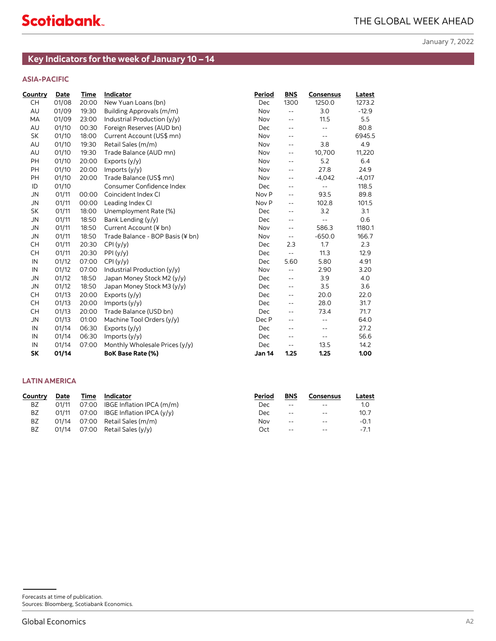# **ASIA-PACIFIC**

|                                   |                |                | Key Indicators for the week of January 10 - 14             |               |                                 |                         |               |
|-----------------------------------|----------------|----------------|------------------------------------------------------------|---------------|---------------------------------|-------------------------|---------------|
| <b>ASIA-PACIFIC</b>               |                |                |                                                            |               |                                 |                         |               |
| Country                           | <b>Date</b>    | Time           | Indicator                                                  | Period        | <b>BNS</b>                      | <b>Consensus</b>        | <b>Latest</b> |
| CН                                | 01/08          | 20:00          | New Yuan Loans (bn)                                        | Dec           | 1300                            | 1250.0                  | 1273.2        |
| AU                                | 01/09          | 19:30          | Building Approvals (m/m)                                   | Nov           | $\overline{\phantom{a}}$        | 3.0                     | $-12.9$       |
| MA                                | 01/09          | 23:00          | Industrial Production (y/y)                                | Nov           | $\overline{\phantom{m}}$ .      | 11.5                    | 5.5           |
| AU                                | 01/10          | 00:30          | Foreign Reserves (AUD bn)                                  | Dec           | $\overline{\phantom{a}}$        | $\sim$ $\sim$           | 80.8          |
| SK                                | 01/10          | 18:00          | Current Account (US\$ mn)                                  | Nov           | $\overline{\phantom{m}}$ .      | $\sim$ $\sim$           | 6945.5        |
| AU                                | 01/10          | 19:30          | Retail Sales (m/m)                                         | Nov           | $\overline{\phantom{m}}$ .      | 3.8                     | 4.9           |
| AU                                | 01/10          | 19:30          | Trade Balance (AUD mn)                                     | Nov           | $\overline{\phantom{m}}$        | 10,700                  | 11,220        |
| PH                                | 01/10          | 20:00          | Exports (y/y)                                              | Nov           | $\overline{\phantom{m}}$ .      | 5.2                     | 6.4           |
| PH                                | 01/10          | 20:00          | Imports (y/y)                                              | Nov           | $\overline{\phantom{a}}$        | 27.8                    | 24.9          |
| PH                                | 01/10          | 20:00          | Trade Balance (US\$ mn)                                    | Nov           | $\overline{\phantom{m}}$        | $-4,042$                | $-4,017$      |
| ID                                | 01/10          |                | Consumer Confidence Index                                  | Dec           | $\overline{\phantom{a}}$        | $\sim$ $\sim$           | 118.5         |
| ${\sf JN}$                        | 01/11          | 00:00          | Coincident Index CI                                        | Nov P         | $\overline{\phantom{a}}$        | 93.5                    | 89.8          |
| <b>JN</b>                         | 01/11          |                | 00:00 Leading Index CI                                     | Nov P         | $\overline{\phantom{a}}$        | 102.8                   | 101.5         |
| SK                                | 01/11          | 18:00          | Unemployment Rate (%)                                      | Dec           | $\overline{\phantom{m}}$ .      | 3.2                     | 3.1           |
| <b>JN</b>                         | 01/11          | 18:50          | Bank Lending (y/y)                                         | Dec           | $\overline{\phantom{m}}$        | $\sim$ $\sim$           | 0.6           |
| <b>JN</b>                         | 01/11          | 18:50          | Current Account (¥ bn)<br>Trade Balance - BOP Basis (¥ bn) | Nov           | $\overline{\phantom{a}}$        | 586.3                   | 1180.1        |
| <b>JN</b><br><b>CH</b>            | 01/11<br>01/11 | 18:50<br>20:30 |                                                            | Nov           | $\overline{\phantom{a}}$<br>2.3 | $-650.0$<br>1.7         | 166.7<br>2.3  |
| <b>CH</b>                         | 01/11          | 20:30          | CPI(y/y)<br>PPI(y/y)                                       | Dec<br>Dec    | $\mathbb{L}^2$                  | 11.3                    | 12.9          |
| IN                                | 01/12          | 07:00          | CPI(y/y)                                                   | Dec           | 5.60                            | 5.80                    | 4.91          |
| IN                                | 01/12          | 07:00          | Industrial Production (y/y)                                | Nov           | $\overline{\phantom{a}}$        | 2.90                    | 3.20          |
| <b>JN</b>                         | 01/12          | 18:50          | Japan Money Stock M2 (y/y)                                 | Dec           | $\overline{\phantom{a}}$        | 3.9                     | $4.0\,$       |
| <b>JN</b>                         | 01/12          | 18:50          | Japan Money Stock M3 (y/y)                                 | Dec           | $\overline{\phantom{a}}$        | 3.5                     | 3.6           |
| <b>CH</b>                         | 01/13          | 20:00          | Exports (y/y)                                              | Dec           | $\overline{\phantom{a}}$ .      | 20.0                    | 22.0          |
| <b>CH</b>                         | 01/13          | 20:00          | Imports (y/y)                                              | Dec           | $\overline{\phantom{a}}$        | 28.0                    | 31.7          |
| <b>CH</b>                         | 01/13          | 20:00          | Trade Balance (USD bn)                                     | Dec           | $\overline{\phantom{m}}$        | 73.4                    | 71.7          |
| <b>JN</b>                         | 01/13          | 01:00          | Machine Tool Orders (y/y)                                  | Dec P         | $\overline{\phantom{a}}$        | $\mathbb{L} \mathbb{L}$ | 64.0          |
| IN                                | 01/14          | 06:30          | Exports (y/y)                                              | Dec           | $\overline{\phantom{m}}$ .      | $\sim$ $\sim$           | 27.2          |
| IN                                | 01/14          | 06:30          | Imports (y/y)                                              | Dec           | $\overline{\phantom{a}}$        | $\sim$ $\sim$           | 56.6          |
| IN                                | 01/14          | 07:00          | Monthly Wholesale Prices (y/y)                             | Dec           | $\overline{\phantom{a}}$        | 13.5                    | 14.2          |
| SK                                | 01/14          |                | BoK Base Rate (%)                                          | <b>Jan 14</b> | 1.25                            | 1.25                    | 1.00          |
|                                   |                |                |                                                            |               |                                 |                         |               |
| <b>LATIN AMERICA</b>              |                |                |                                                            |               |                                 |                         |               |
| <b>Country</b>                    | <b>Date</b>    | <u>Time</u>    | Indicator                                                  | <b>Period</b> | <b>BNS</b>                      | <b>Consensus</b>        | <b>Latest</b> |
| BZ                                | 01/11          | 07:00          | IBGE Inflation IPCA (m/m)                                  | Dec           | $\overline{\phantom{a}}$        | $- -$                   | 1.0           |
| BZ                                | 01/11          | 07:00          | IBGE Inflation IPCA (y/y)                                  | Dec           | $\overline{\phantom{m}}$ .      | $\sim$ $\sim$           | 10.7          |
| ΒZ                                | 01/14          |                | 07:00 Retail Sales (m/m)                                   | Nov           | $\overline{\phantom{a}}$        |                         | $-0.1$        |
| ΒZ                                | 01/14          |                | 07:00 Retail Sales (y/y)                                   | Oct           |                                 |                         | $-7.1$        |
|                                   |                |                |                                                            |               |                                 |                         |               |
|                                   |                |                |                                                            |               |                                 |                         |               |
|                                   |                |                |                                                            |               |                                 |                         |               |
|                                   |                |                |                                                            |               |                                 |                         |               |
|                                   |                |                |                                                            |               |                                 |                         |               |
|                                   |                |                |                                                            |               |                                 |                         |               |
|                                   |                |                |                                                            |               |                                 |                         |               |
|                                   |                |                |                                                            |               |                                 |                         |               |
|                                   |                |                |                                                            |               |                                 |                         |               |
|                                   |                |                |                                                            |               |                                 |                         |               |
|                                   |                |                |                                                            |               |                                 |                         |               |
|                                   |                |                |                                                            |               |                                 |                         |               |
|                                   |                |                |                                                            |               |                                 |                         |               |
|                                   |                |                |                                                            |               |                                 |                         |               |
|                                   |                |                |                                                            |               |                                 |                         |               |
|                                   |                |                |                                                            |               |                                 |                         |               |
|                                   |                |                |                                                            |               |                                 |                         |               |
|                                   |                |                |                                                            |               |                                 |                         |               |
| Forecasts at time of publication. |                |                |                                                            |               |                                 |                         |               |
|                                   |                |                | Sources: Bloomberg, Scotiabank Economics.                  |               |                                 |                         |               |
| <b>Global Economics</b>           |                |                |                                                            |               |                                 |                         |               |
|                                   |                |                |                                                            |               |                                 |                         |               |

# **LATIN AMERICA**

| Country | Date  | Time | Indicator                         | Period | <b>BNS</b>               | Consensus | Latest |
|---------|-------|------|-----------------------------------|--------|--------------------------|-----------|--------|
| BZ      | 01/11 |      | 07:00 IBGE Inflation IPCA (m/m)   | Dec    | $\overline{\phantom{a}}$ | $- -$     | 1.0    |
| BZ      | 01/11 |      | 07:00 IBGE Inflation IPCA $(y/y)$ | Dec    | $-$                      | $- -$     | 10.7   |
| BZ      | 01/14 |      | 07:00 Retail Sales (m/m)          | Nov    | $- -$                    | $- -$     | $-0.1$ |
| ΒZ      | 01/14 |      | 07:00 Retail Sales (y/y)          | Oct    | $- -$                    | $- -$     | $-7.1$ |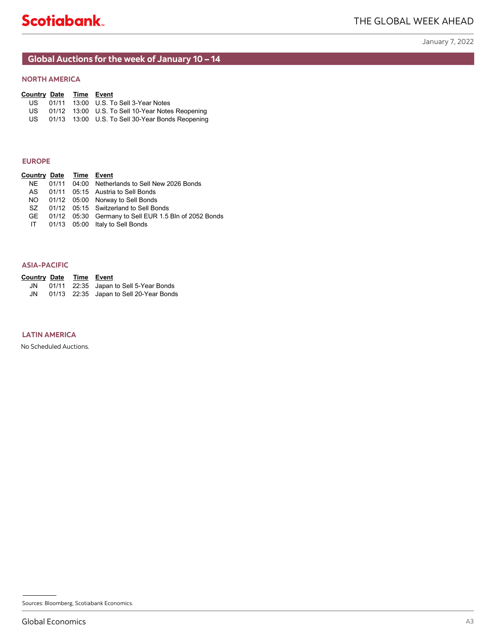# <span id="page-6-0"></span>**Global Auctions for the week of January 10 – 14**

| <b>Country Date Time Event</b> |  |                                                  |
|--------------------------------|--|--------------------------------------------------|
| US-                            |  | 01/11  13:00  U.S. To Sell 3-Year Notes          |
| US.                            |  | 01/12 13:00 U.S. To Sell 10-Year Notes Reopening |
| US.                            |  | 01/13 13:00 U.S. To Sell 30-Year Bonds Reopening |

## **EUROPE**

| <b>NORTH AMERICA</b>                                                          |                |                                                                                                                                                                                                                                                                      |    |
|-------------------------------------------------------------------------------|----------------|----------------------------------------------------------------------------------------------------------------------------------------------------------------------------------------------------------------------------------------------------------------------|----|
| <b>Country Date</b><br>US<br>US<br>US.                                        | 01/11<br>01/13 | Time Event<br>13:00 U.S. To Sell 3-Year Notes<br>01/12 13:00 U.S. To Sell 10-Year Notes Reopening<br>13:00 U.S. To Sell 30-Year Bonds Reopening                                                                                                                      |    |
| <b>EUROPE</b>                                                                 |                |                                                                                                                                                                                                                                                                      |    |
| <b>Country Date</b><br><b>NE</b><br>${\sf AS}$<br><b>NO</b><br>SZ<br>GE<br>IT | 01/11          | Time Event<br>04:00 Netherlands to Sell New 2026 Bonds<br>01/11 05:15 Austria to Sell Bonds<br>01/12 05:00 Norway to Sell Bonds<br>01/12 05:15 Switzerland to Sell Bonds<br>01/12 05:30 Germany to Sell EUR 1.5 Bln of 2052 Bonds<br>01/13 05:00 Italy to Sell Bonds |    |
| <b>ASIA-PACIFIC</b>                                                           |                |                                                                                                                                                                                                                                                                      |    |
| <b>Country Date</b><br>JN<br>JN                                               | 01/11          | Time Event<br>22:35 Japan to Sell 5-Year Bonds<br>01/13 22:35 Japan to Sell 20-Year Bonds                                                                                                                                                                            |    |
|                                                                               |                |                                                                                                                                                                                                                                                                      |    |
|                                                                               |                |                                                                                                                                                                                                                                                                      |    |
|                                                                               |                | Sources: Bloomberg, Scotiabank Economics.                                                                                                                                                                                                                            |    |
| <b>Global Economics</b>                                                       |                |                                                                                                                                                                                                                                                                      | A3 |

## **ASIA-PACIFIC**

| <b>Country Date Time Event</b> |  |                                           |
|--------------------------------|--|-------------------------------------------|
|                                |  | JN 01/11 22:35 Japan to Sell 5-Year Bonds |
| JN                             |  | 01/13 22:35 Japan to Sell 20-Year Bonds   |

# **LATIN AMERICA**

Sources: Bloomberg, Scotiabank Economics.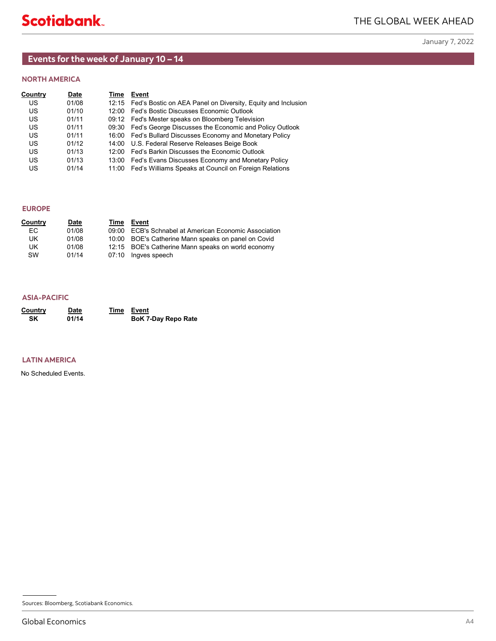# <span id="page-7-0"></span>**Events for the week of January 10 – 14**

# **NORTH AMERICA**

| Country | Date  | Time | Event                                                              |
|---------|-------|------|--------------------------------------------------------------------|
| US      | 01/08 |      | 12:15 Fed's Bostic on AEA Panel on Diversity, Equity and Inclusion |
| US      | 01/10 |      | 12:00 Fed's Bostic Discusses Economic Outlook                      |
| US      | 01/11 |      | 09:12 Fed's Mester speaks on Bloomberg Television                  |
| US      | 01/11 |      | 09:30 Fed's George Discusses the Economic and Policy Outlook       |
| US      | 01/11 |      | 16:00 Fed's Bullard Discusses Economy and Monetary Policy          |
| US      | 01/12 |      | 14:00 U.S. Federal Reserve Releases Beige Book                     |
| US      | 01/13 |      | 12:00 Fed's Barkin Discusses the Economic Outlook                  |
| US      | 01/13 |      | 13:00 Fed's Evans Discusses Economy and Monetary Policy            |
| US      | 01/14 |      | 11:00 Fed's Williams Speaks at Council on Foreign Relations        |

# **EUROPE**

| Country | <b>Date</b> | Time | Event                                                 |
|---------|-------------|------|-------------------------------------------------------|
| EC.     | 01/08       |      | 09:00 ECB's Schnabel at American Economic Association |
| UK.     | 01/08       |      | 10:00 BOE's Catherine Mann speaks on panel on Covid   |
| UK.     | 01/08       |      | 12:15 BOE's Catherine Mann speaks on world economy    |
| SW      | 01/14       |      | 07:10 Ingves speech                                   |

| <b>ASIA-PACIFIC</b>                       |                      |                                   |    |
|-------------------------------------------|----------------------|-----------------------------------|----|
| Country<br>SK                             | <b>Date</b><br>01/14 | Time Event<br>BoK 7-Day Repo Rate |    |
|                                           |                      |                                   |    |
| <b>LATIN AMERICA</b>                      |                      |                                   |    |
| No Scheduled Events.                      |                      |                                   |    |
|                                           |                      |                                   |    |
|                                           |                      |                                   |    |
|                                           |                      |                                   |    |
|                                           |                      |                                   |    |
|                                           |                      |                                   |    |
|                                           |                      |                                   |    |
|                                           |                      |                                   |    |
|                                           |                      |                                   |    |
|                                           |                      |                                   |    |
|                                           |                      |                                   |    |
|                                           |                      |                                   |    |
|                                           |                      |                                   |    |
| Sources: Bloomberg, Scotiabank Economics. |                      |                                   |    |
| <b>Global Economics</b>                   |                      |                                   | A4 |

# **LATIN AMERICA**

Sources: Bloomberg, Scotiabank Economics.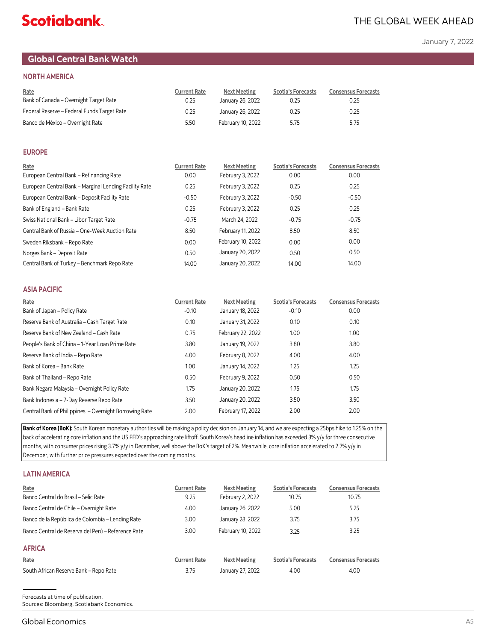# <span id="page-8-0"></span>**Global Central Bank Watch**

# **NORTH AMERICA**

| Rate<br>Bank of Canada - Overnight Target Rate | <b>Current Rate</b><br>0.25 | Next Meeting<br>January 26, 2022 | <b>Scotia's Forecasts</b><br>0.25 | <b>Consensus Forecasts</b><br>0.25 |
|------------------------------------------------|-----------------------------|----------------------------------|-----------------------------------|------------------------------------|
| Federal Reserve - Federal Funds Target Rate    | 0.25                        | January 26, 2022                 | 0.25                              | 0.25                               |
| Banco de México – Overnight Rate               | 5.50                        | February 10, 2022                | 5.75                              | 5.75                               |

# **EUROPE**

| Rate                                                   | <b>Current Rate</b> | <b>Next Meeting</b> | <b>Scotia's Forecasts</b> | <b>Consensus Forecasts</b> |
|--------------------------------------------------------|---------------------|---------------------|---------------------------|----------------------------|
| European Central Bank - Refinancing Rate               | 0.00                | February 3, 2022    | 0.00                      | 0.00                       |
| European Central Bank - Marginal Lending Facility Rate | 0.25                | February 3, 2022    | 0.25                      | 0.25                       |
| European Central Bank - Deposit Facility Rate          | $-0.50$             | February 3, 2022    | $-0.50$                   | $-0.50$                    |
| Bank of England - Bank Rate                            | 0.25                | February 3, 2022    | 0.25                      | 0.25                       |
| Swiss National Bank - Libor Target Rate                | $-0.75$             | March 24, 2022      | $-0.75$                   | $-0.75$                    |
| Central Bank of Russia - One-Week Auction Rate         | 8.50                | February 11, 2022   | 8.50                      | 8.50                       |
| Sweden Riksbank - Repo Rate                            | 0.00                | February 10, 2022   | 0.00                      | 0.00                       |
| Norges Bank - Deposit Rate                             | 0.50                | January 20, 2022    | 0.50                      | 0.50                       |
| Central Bank of Turkey - Benchmark Repo Rate           | 14.00               | January 20, 2022    | 14.00                     | 14.00                      |

# **ASIA PACIFIC**

| Rate                                                   | <b>Current Rate</b> | <b>Next Meeting</b> | <b>Scotia's Forecasts</b> | <b>Consensus Forecasts</b> |
|--------------------------------------------------------|---------------------|---------------------|---------------------------|----------------------------|
| Bank of Japan - Policy Rate                            | $-0.10$             | January 18, 2022    | $-0.10$                   | 0.00                       |
| Reserve Bank of Australia - Cash Target Rate           | 0.10                | January 31, 2022    | 0.10                      | 0.10                       |
| Reserve Bank of New Zealand - Cash Rate                | 0.75                | February 22, 2022   | 1.00                      | 1.00                       |
| People's Bank of China - 1-Year Loan Prime Rate        | 3.80                | January 19, 2022    | 3.80                      | 3.80                       |
| Reserve Bank of India - Repo Rate                      | 4.00                | February 8, 2022    | 4.00                      | 4.00                       |
| Bank of Korea - Bank Rate                              | 1.00                | January 14, 2022    | 1.25                      | 1.25                       |
| Bank of Thailand - Repo Rate                           | 0.50                | February 9, 2022    | 0.50                      | 0.50                       |
| Bank Negara Malaysia - Overnight Policy Rate           | 1.75                | January 20, 2022    | 1.75                      | 1.75                       |
| Bank Indonesia - 7-Day Reverse Repo Rate               | 3.50                | January 20, 2022    | 3.50                      | 3.50                       |
| Central Bank of Philippines - Overnight Borrowing Rate | 2.00                | February 17, 2022   | 2.00                      | 2.00                       |

**Bank of Korea (BoK):** South Korean monetary authorities will be making a policy decision on January 14, and we are expecting a 25bps hike to 1.25% on the back of accelerating core inflation and the US FED's approaching rate liftoff. South Korea's headline inflation has exceeded 3% y/y for three consecutive months, with consumer prices rising 3.7% y/y in December, well above the BoK's target of 2%. Meanwhile, core inflation accelerated to 2.7% y/y in December, with further price pressures expected over the coming months.

# **LATIN AMERICA**

| Rate<br>Banco Central do Brasil - Selic Rate                                                | <b>Current Rate</b><br>9.25 | <b>Next Meeting</b><br>February 2, 2022 | <b>Scotia's Forecasts</b><br>10.75 | <b>Consensus Forecasts</b><br>10.75 |
|---------------------------------------------------------------------------------------------|-----------------------------|-----------------------------------------|------------------------------------|-------------------------------------|
| Banco Central de Chile - Overnight Rate<br>Banco de la República de Colombia – Lending Rate | 4.00<br>3.00                | January 26, 2022<br>January 28, 2022    | 5.00<br>3.75                       | 5.25<br>3.75                        |
| Banco Central de Reserva del Perú – Reference Rate                                          | 3.00                        | February 10, 2022                       | 3.25                               | 3.25                                |
| <b>AFRICA</b>                                                                               |                             |                                         |                                    |                                     |
| Rate                                                                                        | <b>Current Rate</b>         | <b>Next Meeting</b>                     | <b>Scotia's Forecasts</b>          | <b>Consensus Forecasts</b>          |
| South African Reserve Bank - Repo Rate                                                      | 3.75                        | January 27, 2022                        | 4.00                               | 4.00                                |

A5Forecasts at time of publication. Sources: Bloomberg, Scotiabank Economics.